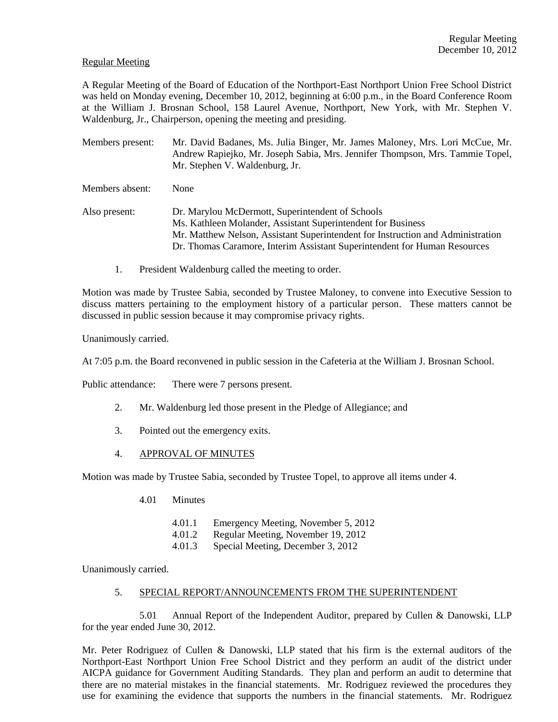## Regular Meeting

A Regular Meeting of the Board of Education of the Northport-East Northport Union Free School District was held on Monday evening, December 10, 2012, beginning at 6:00 p.m., in the Board Conference Room at the William J. Brosnan School, 158 Laurel Avenue, Northport, New York, with Mr. Stephen V. Waldenburg, Jr., Chairperson, opening the meeting and presiding.

Members present: Mr. David Badanes, Ms. Julia Binger, Mr. James Maloney, Mrs. Lori McCue, Mr. Andrew Rapiejko, Mr. Joseph Sabia, Mrs. Jennifer Thompson, Mrs. Tammie Topel, Mr. Stephen V. Waldenburg, Jr.

Members absent: None

Also present: Dr. Marylou McDermott, Superintendent of Schools Ms. Kathleen Molander, Assistant Superintendent for Business Mr. Matthew Nelson, Assistant Superintendent for Instruction and Administration Dr. Thomas Caramore, Interim Assistant Superintendent for Human Resources

1. President Waldenburg called the meeting to order.

Motion was made by Trustee Sabia, seconded by Trustee Maloney, to convene into Executive Session to discuss matters pertaining to the employment history of a particular person. These matters cannot be discussed in public session because it may compromise privacy rights.

Unanimously carried.

At 7:05 p.m. the Board reconvened in public session in the Cafeteria at the William J. Brosnan School.

Public attendance: There were 7 persons present.

- 2. Mr. Waldenburg led those present in the Pledge of Allegiance; and
- 3. Pointed out the emergency exits.
- 4. APPROVAL OF MINUTES

Motion was made by Trustee Sabia, seconded by Trustee Topel, to approve all items under 4.

- 4.01 Minutes
	- 4.01.1 Emergency Meeting, November 5, 2012
	- 4.01.2 Regular Meeting, November 19, 2012
	- 4.01.3 Special Meeting, December 3, 2012

Unanimously carried.

## 5. SPECIAL REPORT/ANNOUNCEMENTS FROM THE SUPERINTENDENT

5.01 Annual Report of the Independent Auditor, prepared by Cullen & Danowski, LLP for the year ended June 30, 2012.

Mr. Peter Rodriguez of Cullen & Danowski, LLP stated that his firm is the external auditors of the Northport-East Northport Union Free School District and they perform an audit of the district under AICPA guidance for Government Auditing Standards. They plan and perform an audit to determine that there are no material mistakes in the financial statements. Mr. Rodriguez reviewed the procedures they use for examining the evidence that supports the numbers in the financial statements. Mr. Rodriguez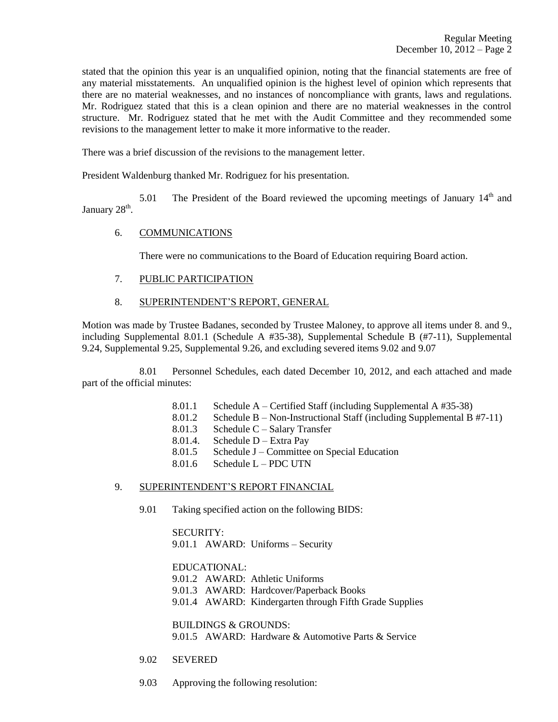stated that the opinion this year is an unqualified opinion, noting that the financial statements are free of any material misstatements. An unqualified opinion is the highest level of opinion which represents that there are no material weaknesses, and no instances of noncompliance with grants, laws and regulations. Mr. Rodriguez stated that this is a clean opinion and there are no material weaknesses in the control structure. Mr. Rodriguez stated that he met with the Audit Committee and they recommended some revisions to the management letter to make it more informative to the reader.

There was a brief discussion of the revisions to the management letter.

President Waldenburg thanked Mr. Rodriguez for his presentation.

5.01 The President of the Board reviewed the upcoming meetings of January  $14<sup>th</sup>$  and January  $28<sup>th</sup>$ .

# 6. COMMUNICATIONS

There were no communications to the Board of Education requiring Board action.

- 7. PUBLIC PARTICIPATION
- 8. SUPERINTENDENT'S REPORT, GENERAL

Motion was made by Trustee Badanes, seconded by Trustee Maloney, to approve all items under 8. and 9., including Supplemental 8.01.1 (Schedule A #35-38), Supplemental Schedule B (#7-11), Supplemental 9.24, Supplemental 9.25, Supplemental 9.26, and excluding severed items 9.02 and 9.07

8.01 Personnel Schedules, each dated December 10, 2012, and each attached and made part of the official minutes:

- 8.01.1 Schedule A Certified Staff (including Supplemental A #35-38)
- 8.01.2 Schedule B Non-Instructional Staff (including Supplemental B #7-11)
- 8.01.3 Schedule C Salary Transfer
- 8.01.4. Schedule D Extra Pay
- 8.01.5 Schedule J Committee on Special Education
- $8.01.6$  Schedule L PDC UTN

# 9. SUPERINTENDENT'S REPORT FINANCIAL

9.01 Taking specified action on the following BIDS:

SECURITY: 9.01.1 AWARD: Uniforms – Security

EDUCATIONAL:

9.01.2 AWARD: Athletic Uniforms

- 9.01.3 AWARD: Hardcover/Paperback Books
- 9.01.4 AWARD: Kindergarten through Fifth Grade Supplies

BUILDINGS & GROUNDS: 9.01.5 AWARD: Hardware & Automotive Parts & Service

- 9.02 SEVERED
- 9.03 Approving the following resolution: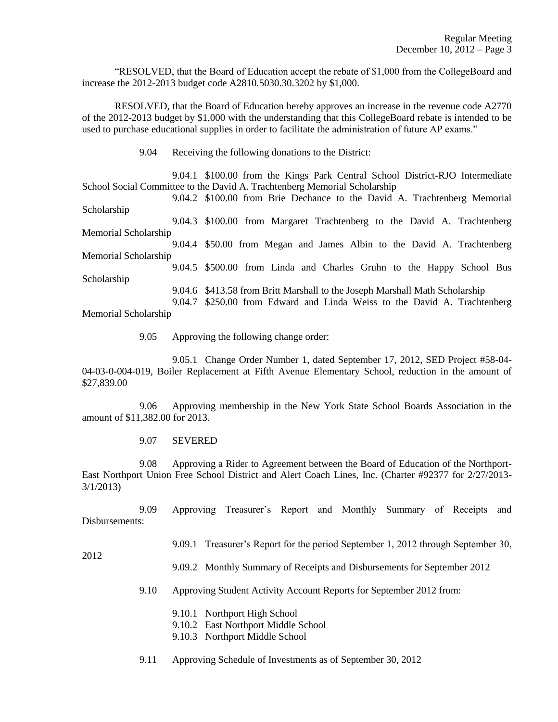"RESOLVED, that the Board of Education accept the rebate of \$1,000 from the CollegeBoard and increase the 2012-2013 budget code A2810.5030.30.3202 by \$1,000.

RESOLVED, that the Board of Education hereby approves an increase in the revenue code A2770 of the 2012-2013 budget by \$1,000 with the understanding that this CollegeBoard rebate is intended to be used to purchase educational supplies in order to facilitate the administration of future AP exams."

9.04 Receiving the following donations to the District:

9.04.1 \$100.00 from the Kings Park Central School District-RJO Intermediate School Social Committee to the David A. Trachtenberg Memorial Scholarship

9.04.2 \$100.00 from Brie Dechance to the David A. Trachtenberg Memorial Scholarship 9.04.3 \$100.00 from Margaret Trachtenberg to the David A. Trachtenberg Memorial Scholarship 9.04.4 \$50.00 from Megan and James Albin to the David A. Trachtenberg Memorial Scholarship 9.04.5 \$500.00 from Linda and Charles Gruhn to the Happy School Bus Scholarship 9.04.6 \$413.58 from Britt Marshall to the Joseph Marshall Math Scholarship

9.04.7 \$250.00 from Edward and Linda Weiss to the David A. Trachtenberg Memorial Scholarship

9.05 Approving the following change order:

9.05.1 Change Order Number 1, dated September 17, 2012, SED Project #58-04- 04-03-0-004-019, Boiler Replacement at Fifth Avenue Elementary School, reduction in the amount of \$27,839.00

9.06 Approving membership in the New York State School Boards Association in the amount of \$11,382.00 for 2013.

9.07 SEVERED

9.08 Approving a Rider to Agreement between the Board of Education of the Northport-East Northport Union Free School District and Alert Coach Lines, Inc. (Charter #92377 for 2/27/2013- 3/1/2013)

9.09 Approving Treasurer's Report and Monthly Summary of Receipts and Disbursements:

2012

- 9.09.1 Treasurer's Report for the period September 1, 2012 through September 30,
- 9.09.2 Monthly Summary of Receipts and Disbursements for September 2012
- 9.10 Approving Student Activity Account Reports for September 2012 from:
	- 9.10.1 Northport High School
	- 9.10.2 East Northport Middle School
	- 9.10.3 Northport Middle School
- 9.11 Approving Schedule of Investments as of September 30, 2012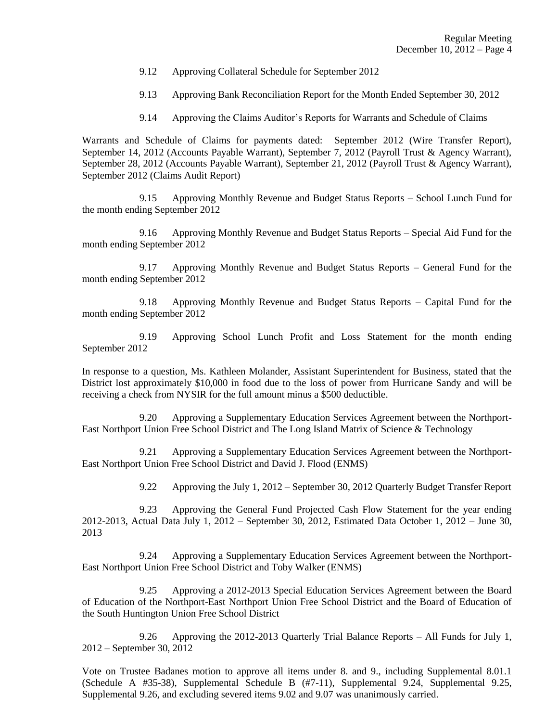- 9.12 Approving Collateral Schedule for September 2012
- 9.13 Approving Bank Reconciliation Report for the Month Ended September 30, 2012
- 9.14 Approving the Claims Auditor's Reports for Warrants and Schedule of Claims

Warrants and Schedule of Claims for payments dated: September 2012 (Wire Transfer Report), September 14, 2012 (Accounts Payable Warrant), September 7, 2012 (Payroll Trust & Agency Warrant), September 28, 2012 (Accounts Payable Warrant), September 21, 2012 (Payroll Trust & Agency Warrant), September 2012 (Claims Audit Report)

9.15 Approving Monthly Revenue and Budget Status Reports – School Lunch Fund for the month ending September 2012

9.16 Approving Monthly Revenue and Budget Status Reports – Special Aid Fund for the month ending September 2012

9.17 Approving Monthly Revenue and Budget Status Reports – General Fund for the month ending September 2012

9.18 Approving Monthly Revenue and Budget Status Reports – Capital Fund for the month ending September 2012

9.19 Approving School Lunch Profit and Loss Statement for the month ending September 2012

In response to a question, Ms. Kathleen Molander, Assistant Superintendent for Business, stated that the District lost approximately \$10,000 in food due to the loss of power from Hurricane Sandy and will be receiving a check from NYSIR for the full amount minus a \$500 deductible.

9.20 Approving a Supplementary Education Services Agreement between the Northport-East Northport Union Free School District and The Long Island Matrix of Science & Technology

9.21 Approving a Supplementary Education Services Agreement between the Northport-East Northport Union Free School District and David J. Flood (ENMS)

9.22 Approving the July 1, 2012 – September 30, 2012 Quarterly Budget Transfer Report

9.23 Approving the General Fund Projected Cash Flow Statement for the year ending 2012-2013, Actual Data July 1, 2012 – September 30, 2012, Estimated Data October 1, 2012 – June 30, 2013

9.24 Approving a Supplementary Education Services Agreement between the Northport-East Northport Union Free School District and Toby Walker (ENMS)

9.25 Approving a 2012-2013 Special Education Services Agreement between the Board of Education of the Northport-East Northport Union Free School District and the Board of Education of the South Huntington Union Free School District

9.26 Approving the 2012-2013 Quarterly Trial Balance Reports – All Funds for July 1, 2012 – September 30, 2012

Vote on Trustee Badanes motion to approve all items under 8. and 9., including Supplemental 8.01.1 (Schedule A #35-38), Supplemental Schedule B (#7-11), Supplemental 9.24, Supplemental 9.25, Supplemental 9.26, and excluding severed items 9.02 and 9.07 was unanimously carried.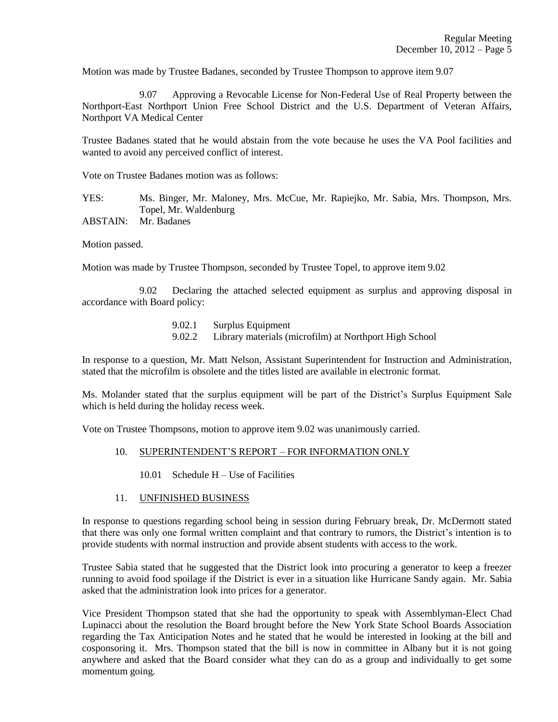Motion was made by Trustee Badanes, seconded by Trustee Thompson to approve item 9.07

9.07 Approving a Revocable License for Non-Federal Use of Real Property between the Northport-East Northport Union Free School District and the U.S. Department of Veteran Affairs, Northport VA Medical Center

Trustee Badanes stated that he would abstain from the vote because he uses the VA Pool facilities and wanted to avoid any perceived conflict of interest.

Vote on Trustee Badanes motion was as follows:

YES: Ms. Binger, Mr. Maloney, Mrs. McCue, Mr. Rapiejko, Mr. Sabia, Mrs. Thompson, Mrs. Topel, Mr. Waldenburg ABSTAIN: Mr. Badanes

Motion passed.

Motion was made by Trustee Thompson, seconded by Trustee Topel, to approve item 9.02

9.02 Declaring the attached selected equipment as surplus and approving disposal in accordance with Board policy:

> 9.02.1 Surplus Equipment 9.02.2 Library materials (microfilm) at Northport High School

In response to a question, Mr. Matt Nelson, Assistant Superintendent for Instruction and Administration, stated that the microfilm is obsolete and the titles listed are available in electronic format.

Ms. Molander stated that the surplus equipment will be part of the District's Surplus Equipment Sale which is held during the holiday recess week.

Vote on Trustee Thompsons, motion to approve item 9.02 was unanimously carried.

#### 10. SUPERINTENDENT'S REPORT – FOR INFORMATION ONLY

- 10.01 Schedule H Use of Facilities
- 11. UNFINISHED BUSINESS

In response to questions regarding school being in session during February break, Dr. McDermott stated that there was only one formal written complaint and that contrary to rumors, the District's intention is to provide students with normal instruction and provide absent students with access to the work.

Trustee Sabia stated that he suggested that the District look into procuring a generator to keep a freezer running to avoid food spoilage if the District is ever in a situation like Hurricane Sandy again. Mr. Sabia asked that the administration look into prices for a generator.

Vice President Thompson stated that she had the opportunity to speak with Assemblyman-Elect Chad Lupinacci about the resolution the Board brought before the New York State School Boards Association regarding the Tax Anticipation Notes and he stated that he would be interested in looking at the bill and cosponsoring it. Mrs. Thompson stated that the bill is now in committee in Albany but it is not going anywhere and asked that the Board consider what they can do as a group and individually to get some momentum going.